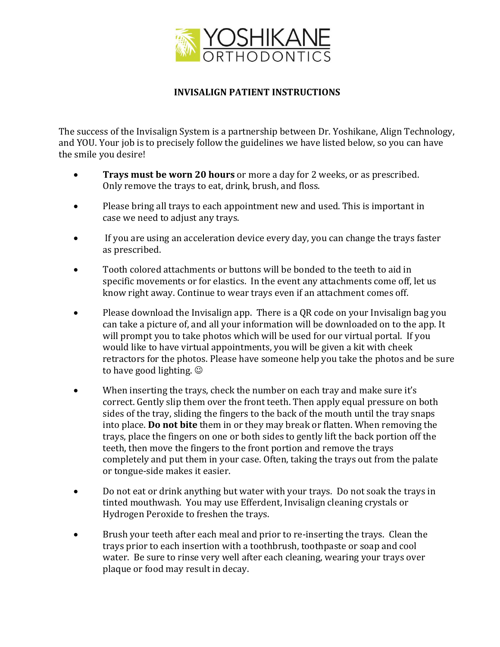

## **INVISALIGN PATIENT INSTRUCTIONS**

The success of the Invisalign System is a partnership between Dr. Yoshikane, Align Technology, and YOU. Your job is to precisely follow the guidelines we have listed below, so you can have the smile you desire!

- **Trays must be worn 20 hours** or more a day for 2 weeks, or as prescribed. Only remove the trays to eat, drink, brush, and floss.
- Please bring all trays to each appointment new and used. This is important in case we need to adjust any trays.
- If you are using an acceleration device every day, you can change the trays faster as prescribed.
- Tooth colored attachments or buttons will be bonded to the teeth to aid in specific movements or for elastics. In the event any attachments come off, let us know right away. Continue to wear trays even if an attachment comes off.
- Please download the Invisalign app. There is a QR code on your Invisalign bag you can take a picture of, and all your information will be downloaded on to the app. It will prompt you to take photos which will be used for our virtual portal. If you would like to have virtual appointments, you will be given a kit with cheek retractors for the photos. Please have someone help you take the photos and be sure to have good lighting.  $\odot$
- When inserting the trays, check the number on each tray and make sure it's correct. Gently slip them over the front teeth. Then apply equal pressure on both sides of the tray, sliding the fingers to the back of the mouth until the tray snaps into place. **Do not bite** them in or they may break or flatten. When removing the trays, place the fingers on one or both sides to gently lift the back portion off the teeth, then move the fingers to the front portion and remove the trays completely and put them in your case. Often, taking the trays out from the palate or tongue-side makes it easier.
- Do not eat or drink anything but water with your trays. Do not soak the trays in tinted mouthwash. You may use Efferdent, Invisalign cleaning crystals or Hydrogen Peroxide to freshen the trays.
- Brush your teeth after each meal and prior to re-inserting the trays. Clean the trays prior to each insertion with a toothbrush, toothpaste or soap and cool water. Be sure to rinse very well after each cleaning, wearing your trays over plaque or food may result in decay.